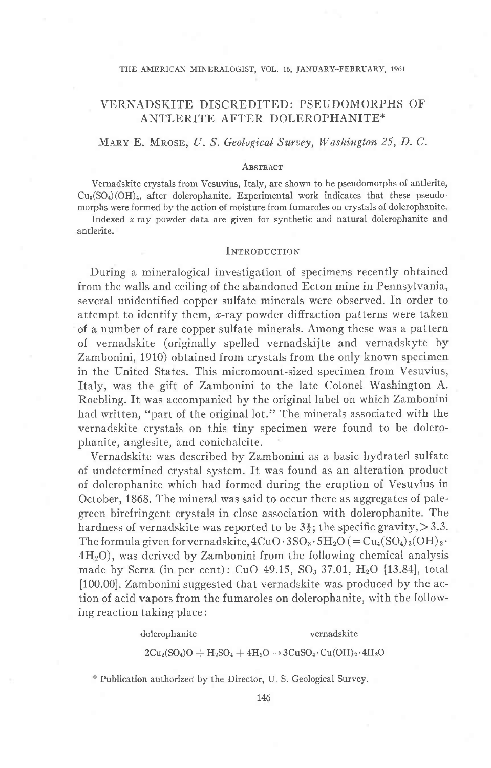### THE AMERICAN MINERALOGIST, VOL. 46, JANUARY-FEBRUARY, 1961

## VERNADSKITE DISCREDITED: PSEUDOMORPHS OF ANTLERITE AFTER DOLEROPHANITE"

### MARY E. MROSE, U. S. Geological Survey, Washington 25, D. C.

### **ABSTRACT**

Vernadskite crystals from Vesuvius, Italy, are shown to be pseudomorphs of antlerite,  $Cu<sub>3</sub>(SO<sub>4</sub>)(OH)<sub>4</sub>$ , after dolerophanite. Experimental work indicates that these pseudomorphs were formed by the action of moisture from fumaroles on crystals of dolerophanite.

Indexed  $x$ -ray powder data are given for synthetic and natural dolerophanite and antlerite.

### INTRODUCTION

During a mineralogical investigation of specimens recently obtained from the walls and ceiling of the abandoned Ecton mine in Pennsylvania, several unidentified copper sulfate minerals were observed. fn order to attempt to identify them,  $x$ -ray powder diffraction patterns were taken of a number of rare copper sulfate minerals. Among these was a pattern of vernadskite (originally spelled vernadskijte and vernadskyte by Zambonini, 1910) obtained from crystals from the only known specimen in the United States. This micromount-sized specimen from Vesuvius, Italy, was the gift of Zambonini to the late Colonel Washington A. Roebling. It was accompanied by the original label on which Zambonini had written, "part of the original lot." The minerals associated with the vernadskite crystals on this tiny specimen were found to be dolerophanite, anglesite, and conichalcite.

Vernadskite was described by Zambonini as a basic hydrated sulfate of undetermined crystal system. It was found as an alteration product of dolerophanite which had formed during the eruption of Vesuvius in October, 1868. The mineral was said to occur there as aggregates of palegreen birefringent crystals in close association with dolerophanite. The hardness of vernadskite was reported to be  $3\frac{1}{2}$ ; the specific gravity, > 3.3. The formula given for vernadskite,  $4CuO·3SO_3·5H_2O (= Cu_4(SO_4)_3(OH)_2·$  $4H<sub>2</sub>O$ , was derived by Zambonini from the following chemical analysis made by Serra (in per cent): CuO 49.15, SO<sub>3</sub> 37.01, H<sub>2</sub>O [13.84], total [100.00]. Zambonini suggested that vernadskite was produced by the action of acid vapors from the fumaroles on dolerophanite, with the following reaction taking place:

## dolerophanite vernadskite  $2Cu_2(SO_4)O + H_2SO_4 + 4H_2O \rightarrow 3CuSO_4 \cdot Cu(OH)_2 \cdot 4H_2O$

" Publication authorized by the Director, U. S. Geological Survey.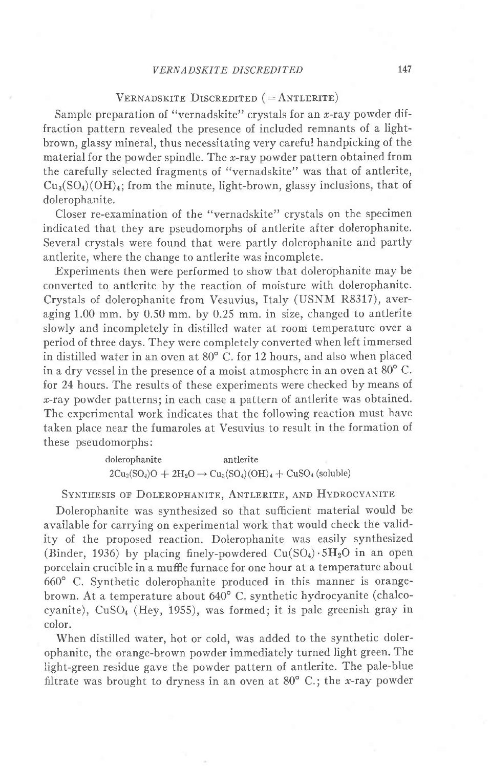### VERNADSKITE DISCREDITED 147

### VERNADSKITE DISCREDITED ( $=$  ANTLERITE)

Sample preparation of "vernadskite" crystals for an  $x$ -ray powder diffraction pattern revealed the presence of included remnants of a lightbrown, glassy mineral, thus necessitating very careful handpicking of the material for the powder spindle. The  $x$ -ray powder pattern obtained from the carefully selected fragments of "vernadskite" was that of antlerite,  $Cu<sub>3</sub>(SO<sub>4</sub>)(OH)<sub>4</sub>$ ; from the minute, light-brown, glassy inclusions, that of dolerophanite.

Closer re-examination of the "vernadskite" crystals on the specimen indicated that they are pseudomorphs of antlerite after dolerophanite. Several crystals were found that were partly dolerophanite and partly antlerite, where the change to antlerite was incomplete.

Experiments then were performed to show that dolerophanite may be converted to antlerite by the reaction of moisture with dolerophanite. Crystals of dolerophanite from Vesuvius, Italy (USNM R8317), averaging 1.00 mm. by 0.50 mm. by 0.25 mm. in size, changed to antlerite slowly and incompletely in distilled water at room temperature over a period of three days. They were completely converted when left immersed in distilled water in an oven at 80° C. for 12 hours, and also when placed in a dry vessel in the presence of a moist atmosphere in an oven at  $80^{\circ}$  C. for 24 hours. The results of these experiments were checked by means of  $x$ -ray powder patterns; in each case a pattern of antlerite was obtained. The experimental work indicates that the following reaction must have taken place near the fumaroles at Vesuvius to result in the formation of these pseudomorphs:

> dolerophanite antlerite  $2Cu_2(SO_4)O + 2H_2O \rightarrow Cu_3(SO_4)(OH)_4 + CuSO_4$  (soluble)

SYNTHESIS OF DOLEROPHANITE, ANTLERITE, AND HYDROCYANITE

Dolerophanite was synthesized so that sufficient material would be available for carrying on experimental work that would check the validity of the proposed reaction. Dolerophanite was easily synthesized (Binder, 1936) by placing finely-powdered  $Cu(SO<sub>4</sub>) \cdot 5H<sub>2</sub>O$  in an open porcelain crucible in a muffie furnace for one hour at a temperature about 660' C. Synthetic dolerophanite produced in this manner is orangebrown. At a temperature about 640' C. synthetic hydrocyanite (chalcocyanite),  $CuSO<sub>4</sub>$  (Hey, 1955), was formed; it is pale greenish gray in color.

When distilled water, hot or cold, was added to the synthetic dolerophanite, the orange-brown powder immediately turned light green. The light-green residue gave the powder pattern of antlerite. The pale-blue filtrate was brought to dryness in an oven at  $80^{\circ}$  C.; the x-ray powder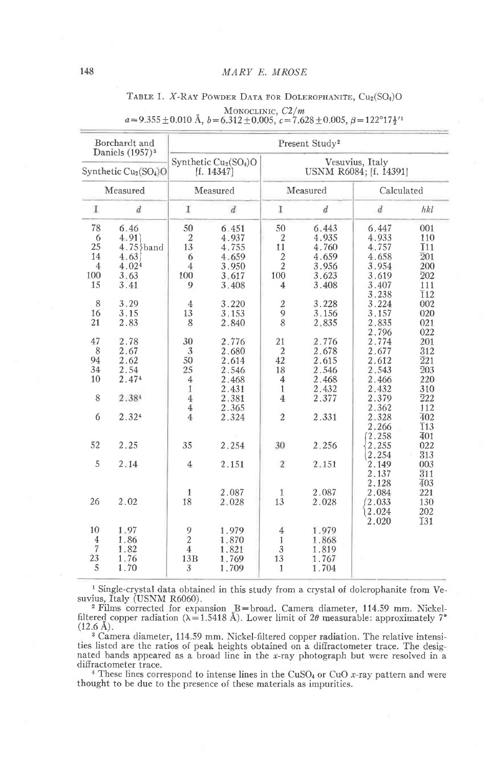### Borchardt and Present Study<sup>2</sup> Daniels (1957)<sup>3</sup> Synthetic Cu<sub>2</sub>(SO<sub>4</sub>)O Vesuvius, Italy Synthetic Cu<sub>2</sub>(SO<sub>4</sub>)O USNM R6084; [f. 14391]  $[f. 14347]$ Measured Measured Measured Calculated I  $\overline{d}$ I  $\boldsymbol{d}$ I  $\overrightarrow{d}$  $\overline{d}$ hkl 78 6.46 50 6.451 50 6.443 6.447 001 4.935 4.933  $4:91$ 4.937 6  $\overline{2}$  $\overline{2}$ 110  $2.5$  $4.75$  band 13 4.755  $11$ 4.760 4.757 **T11** 4.659 14  $4.63$ 6 4.659  $\overline{2}$ 4.658  $\overline{2}01$  $4.02<sup>4</sup>$  $\overline{2}$ 3.956 3.954 200  $\overline{4}$  $\overline{4}$ 3.950 100 3.63 100 3.617 100 3.619  $\overline{2}02$ 3.623  $3.41$ 15 9 3.408  $\overline{4}$ 3.408 3.407 111 3.238  $\overline{1}12$  $\mathbf{\hat{R}}$ 3.29  $\overline{2}$ 3.228 3.224  $\overline{4}$ 3.220 002 3.153 3.156 16 3.15 13  $\overline{Q}$ 3.157 020  $\overline{8}$ 21 2.83 8 2.840 2.835 2.835 021 2.796 022 47 2.78 30 2.776 21 2.776 2.774 201 8 2.67 3 2.680  $\overline{2}$ 2.678 2.677  $\overline{3}12$ 94 2.62  $\overline{42}$ 50 2.614 2.612  $\overline{2}21$ 2.615  $\overline{2}03$ 34 2.54 25 2.546 18 2.546 2.543 10 2.474  $\overline{4}$ 2.468 2.468 2.466 220  $\overline{4}$ 2.431 2.432 2.432  $1\,$  $\mathbf{1}$ 310 8 2.384 2.381 2.377 2.379 222  $\overline{4}$  $\overline{4}$  $\overline{4}$ 2.365 2.362 112 2.324  $\overline{2}$ 6  $\overline{4}$ 2.324 2.331 2.328 402 2.266 **T13**  $(2.258)$  $\overline{4}01$ 52 2.25 35 2.254 30 2.256 2.255 022 2.254 313 5 2.14  $\overline{4}$  $\overline{2}$ 2.149 003 2.151 2.151 2.137  $\overline{3}11$ 2.128 403 2.087 2.087 2.084 221 1 1 26 2.02 18 2.028 13 2.028  $(2.033)$ 130  $2.024$ 202 2.020 **I31** 1.979 10 1.97  $\overline{Q}$ 1.979  $\overline{4}$  $\overline{2}$ 1.86 1.870  $\overline{4}$  $\mathbf{1}$ 1.868 1.819  $\overline{7}$  $\overline{4}$ 1.82 1.821 3 23  $\frac{1.76}{1.70}$  $13B$ 1.769 13 1.767 5 3 1.709  $\mathbf{1}$ 1.704

# TABLE 1. X-RAY POWDER DATA FOR DOLEROPHANITE, Cu<sub>2</sub>(SO<sub>4</sub>)O

MONOCLINIC,  $C2/m$ <br> $a=9.355\pm0.010 \text{ Å}, b=6.312\pm0.005, c=7.628\pm0.005, \beta=122^{\circ}17\frac{1}{2}^{11}$ 

<sup>1</sup> Single-crystal data obtained in this study from a crystal of dolerophanite from Vesuvius, Italy (USNM R6060).

<sup>2</sup> Films corrected for expansion B=broad. Camera diameter, 114.59 mm. Nickel-<br>filtered copper radiation ( $\lambda$ =1.5418 Å). Lower limit of 20 measurable: approximately 7<sup>°</sup>  $(12.6 \text{ Å})$ .

<sup>3</sup> Camera diameter, 114.59 mm. Nickel-filtered copper radiation. The relative intensities listed are the ratios of peak heights obtained on a diffractometer trace. The designated bands appeared as a broad line in the x-ray photograph but were resolved in a diffractometer trace.

<sup>4</sup> These lines correspond to intense lines in the CuSO<sub>4</sub> or CuO x-ray pattern and were thought to be due to the presence of these materials as impurities.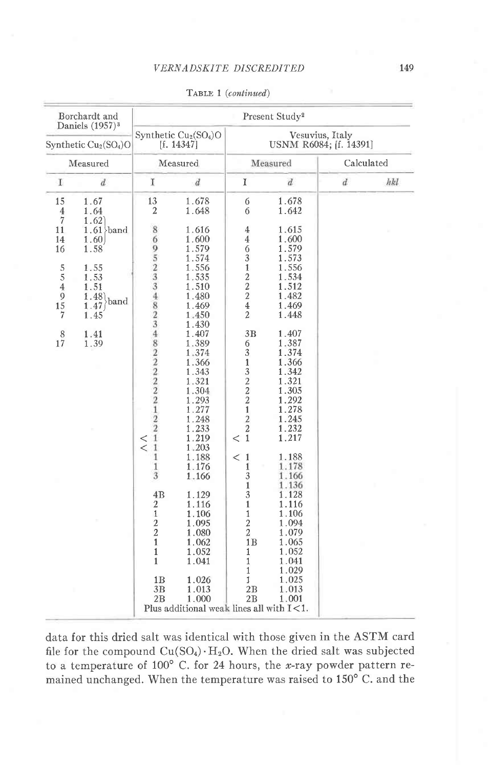| Borchardt and<br>Daniels (1957) <sup>3</sup><br>Synthetic $Cu2(SO4)O$<br>Measured                                                   |                                                                                                                             | Present Study <sup>2</sup>                                                                                                                                                                                                                                                         |                                                                                                                                                                                                                                                                                                                                           |                                                                                                                                                                                                                                                                                                                                                                                                                                                                                  |                                                                                                                                                                                                                                                                                                                                  |                  |     |  |  |
|-------------------------------------------------------------------------------------------------------------------------------------|-----------------------------------------------------------------------------------------------------------------------------|------------------------------------------------------------------------------------------------------------------------------------------------------------------------------------------------------------------------------------------------------------------------------------|-------------------------------------------------------------------------------------------------------------------------------------------------------------------------------------------------------------------------------------------------------------------------------------------------------------------------------------------|----------------------------------------------------------------------------------------------------------------------------------------------------------------------------------------------------------------------------------------------------------------------------------------------------------------------------------------------------------------------------------------------------------------------------------------------------------------------------------|----------------------------------------------------------------------------------------------------------------------------------------------------------------------------------------------------------------------------------------------------------------------------------------------------------------------------------|------------------|-----|--|--|
|                                                                                                                                     |                                                                                                                             |                                                                                                                                                                                                                                                                                    | Synthetic Cu <sub>2</sub> (SO <sub>4</sub> )O<br>[f. 14347]                                                                                                                                                                                                                                                                               | Vesuvius, Italy<br>USNM R6084; [f. 14391]                                                                                                                                                                                                                                                                                                                                                                                                                                        |                                                                                                                                                                                                                                                                                                                                  |                  |     |  |  |
|                                                                                                                                     |                                                                                                                             | Measured                                                                                                                                                                                                                                                                           |                                                                                                                                                                                                                                                                                                                                           |                                                                                                                                                                                                                                                                                                                                                                                                                                                                                  | Measured                                                                                                                                                                                                                                                                                                                         | Calculated       |     |  |  |
| $\mathbf I$                                                                                                                         | $\boldsymbol{d}$                                                                                                            | I                                                                                                                                                                                                                                                                                  | $\overline{d}$                                                                                                                                                                                                                                                                                                                            | $\mathbf I$                                                                                                                                                                                                                                                                                                                                                                                                                                                                      | $\boldsymbol{d}$                                                                                                                                                                                                                                                                                                                 | $\boldsymbol{d}$ | hkl |  |  |
| 15<br>$\overline{4}$<br>$\overline{7}$<br>11<br>14<br>16<br>5<br>5<br>$\overline{4}$<br>$\frac{9}{15}$<br>$\overline{7}$<br>8<br>17 | 1.67<br>1.64<br>1.62<br>$1.61$ band<br>1.60<br>1.58<br>1.55<br>1.53<br>1.51<br>1.48<br>band<br>1.47<br>1.45<br>1.41<br>1.39 | 13<br>2<br>8<br>695233482348222222<br>$\frac{2}{2}$<br>$\overline{1}$<br>$\,<$<br>$\overline{1}$<br>$\overline{\phantom{0}}$<br>$\mathbf{1}$<br>1<br>3<br>4B<br>$\overline{2}$<br>$\mathbf{1}$<br>$\overline{c}$<br>$\overline{a}$<br>$\mathbf{1}$<br>$\mathbf{1}$<br>$\mathbf{1}$ | 1.678<br>1.648<br>1.616<br>1.600<br>1.579<br>1.574<br>1.556<br>1.535<br>1.510<br>1.480<br>1.469<br>1.450<br>1.430<br>1.407<br>1.389<br>1.374<br>1.366<br>1.343<br>1.321<br>1.304<br>1.293<br>1.277<br>1.248<br>1.233<br>1.219<br>1.203<br>1.188<br>1.176<br>1.166<br>1.129<br>1.116<br>1.106<br>1.095<br>1.080<br>1.062<br>1.052<br>1.041 | 6<br>6<br>$\overline{4}$<br>$\overline{4}$<br>6<br>$\overline{3}$<br>$\,1$<br>$\frac{2}{2}$<br>$\overline{4}$<br>$\overline{2}$<br>3B<br>6<br>$\overline{3}$<br>$\mathbf 1$<br>$\begin{array}{c} 3 \\ 2 \\ 2 \end{array}$<br>$\overline{1}$<br>$\overline{2}$<br>$\overline{c}$<br>$\mathbf{1}$<br>$\,<\,$<br>$\mathbf{1}$<br>$\,<\,$<br>1<br>3<br>$\mathbf{1}$<br>$\overline{3}$<br>$\mathbf{1}$<br>$\mathbf{1}$<br>$\overline{2}$<br>$\overline{2}$<br>1B<br>1<br>$\mathbf{1}$ | 1.678<br>1.642<br>1.615<br>1.600<br>1.579<br>1.573<br>1.556<br>1.534<br>1.512<br>1.482<br>1.469<br>1.448<br>1.407<br>1.387<br>1.374<br>1.366<br>1.342<br>1.321<br>1.305<br>1.292<br>1.278<br>1.245<br>1.232<br>1.217<br>1.188<br>1.178<br>1.166<br>1.136<br>1.128<br>1.116<br>1.106<br>1.094<br>1.079<br>1.065<br>1.052<br>1.041 |                  |     |  |  |
|                                                                                                                                     |                                                                                                                             | 1B<br>3B<br>2B                                                                                                                                                                                                                                                                     | 1.026<br>1.013<br>1.000<br>Plus additional weak lines all with $I<1$ .                                                                                                                                                                                                                                                                    | 1<br>1<br>2B<br>2B                                                                                                                                                                                                                                                                                                                                                                                                                                                               | 1.029<br>1.025<br>1.013<br>1.001                                                                                                                                                                                                                                                                                                 |                  |     |  |  |

TABLE 1 (continued)

data for this dried salt was identical with those given in the ASTM card file for the compound Cu(SO4) · H<sub>2</sub>O. When the dried salt was subjected to a temperature of  $100^{\circ}$  C. for 24 hours, the *x*-ray powder pattern remained unchanged. When the temperature was raised to 150°C. and the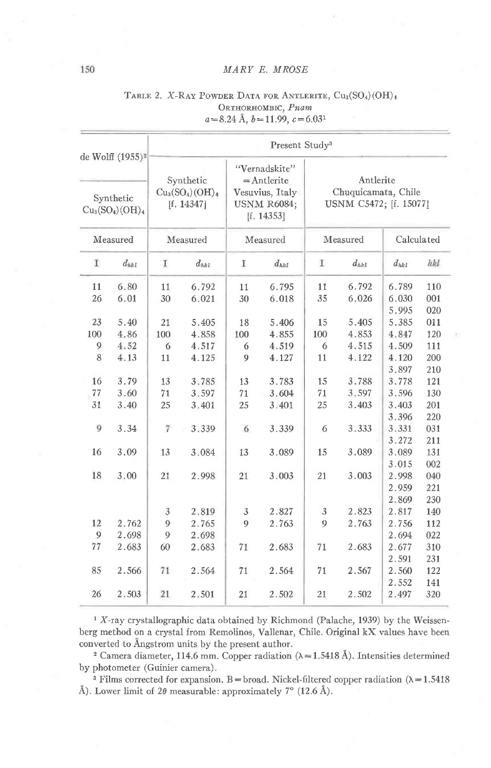| de Wolff (1955) <sup>2</sup><br>Synthetic<br>$Cu3(SO4)(OH)4$ |           | Present Study <sup>3</sup>                 |           |                                                                                       |           |                                                            |           |                         |                   |  |
|--------------------------------------------------------------|-----------|--------------------------------------------|-----------|---------------------------------------------------------------------------------------|-----------|------------------------------------------------------------|-----------|-------------------------|-------------------|--|
|                                                              |           | Synthetic<br>$Cu3(SO4)(OH)4$<br>[f. 14347] |           | "Vernadskite"<br>$=$ Antlerite<br>Vesuvius, Italy<br><b>USNM R6084:</b><br>[f. 14353] |           | Antlerite<br>Chuquicamata, Chile<br>USNM C5472; [f. 15077] |           |                         |                   |  |
| Measured                                                     |           | Measured                                   |           | Measured                                                                              |           | Measured                                                   |           | Calculated              |                   |  |
| T                                                            | $d_{hkl}$ | Τ                                          | $d_{hkl}$ | Ι                                                                                     | $d_{hk1}$ | T                                                          | $d_{hkl}$ | $d_{hk}$                | hkl               |  |
| 11                                                           | 6.80      | 11                                         | 6.792     | 11                                                                                    | 6.795     | 11                                                         | 6.792     | 6.789                   | 110               |  |
| 26                                                           | 6.01      | 30                                         | 6.021     | 30                                                                                    | 6.018     | 35                                                         | 6.026     | 6.030<br>5.995          | 001<br>020        |  |
| 23                                                           | 5.40      | 21                                         | 5.405     | 18                                                                                    | 5.406     | 15                                                         | 5.405     | 5.385                   | 011               |  |
| 100                                                          | 4,86      | 100                                        | 4.858     | 100                                                                                   | 4.855     | 100                                                        | 4.853     | 4.847                   | 120               |  |
| 9                                                            | 4.52      | 6                                          | 4.517     | 6                                                                                     | 4.519     | 6                                                          | 4.515     | 4.509                   | 111               |  |
| 8                                                            | 4.13      | 11                                         | 4.125     | 9                                                                                     | 4.127     | 11                                                         | 4.122     | 4.120<br>3.897          | 200<br>210        |  |
| 16                                                           | 3.79      | 13                                         | 3.785     | 13                                                                                    | 3.783     | 15                                                         | 3.788     | 3.778                   | 121               |  |
| 77                                                           | 3.60      | 71                                         | 3.597     | 71                                                                                    | 3.604     | 71                                                         | 3.597     | 3.596                   | 130               |  |
| 31                                                           | 3.40      | 25                                         | 3.401     | 25                                                                                    | 3.401     | 25                                                         | 3.403     | 3.403                   | 201               |  |
| 9                                                            | 3.34      | $\overline{7}$                             | 3.339     | 6                                                                                     | 3.339     | 6                                                          | 3.333     | 3.396<br>3.331          | 220<br>031        |  |
| 16                                                           | 3.09      | 13                                         | 3.084     | 13                                                                                    | 3.089     | 15                                                         | 3.089     | 3.272<br>3.089          | 211<br>131        |  |
| 18                                                           | 3.00      | 21                                         | 2.998     | 21                                                                                    | 3.003     | 21                                                         | 3.003     | 3.015<br>2.998<br>2.959 | 002<br>040<br>221 |  |
|                                                              |           |                                            |           |                                                                                       |           |                                                            |           | 2.869                   | 230               |  |
|                                                              |           | 3                                          | 2.819     | 3                                                                                     | 2.827     | 3                                                          | 2.823     | 2.817                   | 140               |  |
| 12                                                           | 2.762     | 9                                          | 2.765     | 9                                                                                     | 2.763     | 9                                                          | 2.763     | 2.756                   | 112               |  |
| 9                                                            | 2.698     | 9                                          | 2.698     |                                                                                       |           |                                                            |           | 2.694                   | 022               |  |
| 77                                                           | 2.683     | 60                                         | 2.683     | 71                                                                                    | 2.683     | 71                                                         | 2.683     | 2.677                   | 310               |  |
|                                                              |           |                                            |           |                                                                                       |           |                                                            |           | 2.591                   | 231               |  |
| 85                                                           | 2.566     | 71                                         | 2.564     | 71                                                                                    | 2.564     | 71                                                         | 2.567     | 2.560                   | 122               |  |
| 26                                                           | 2.503     | 21                                         | 2.501     | 21                                                                                    | 2.502     | 21                                                         | 2.502     | 2.552<br>2.497          | 141<br>320        |  |

### TABLE 2. X-RAY POWDER DATA FOR ANTLERITE, Cu<sub>3</sub>(SO<sub>4</sub>)(OH)<sub>4</sub> ORTHORHOMBIC, Pnam  $a=8.24 \text{ Å}, b=11.99, c=6.031$

<sup>1</sup> X-ray crystallographic data obtained by Richmond (Palache, 1939) by the Weissenberg method on a crystal from Remolinos, Vallenar, Chile. Original kX values have been converted to Ångstrom units by the present author.

<sup>2</sup> Camera diameter, 114.6 mm. Copper radiation ( $\lambda$  = 1.5418 Å). Intensities determined by photometer (Guinier camera).

<sup>3</sup> Films corrected for expansion. B = broad. Nickel-filtered copper radiation ( $\lambda$  = 1.5418 Å). Lower limit of  $2\theta$  measurable: approximately  $7^{\circ}$  (12.6 Å).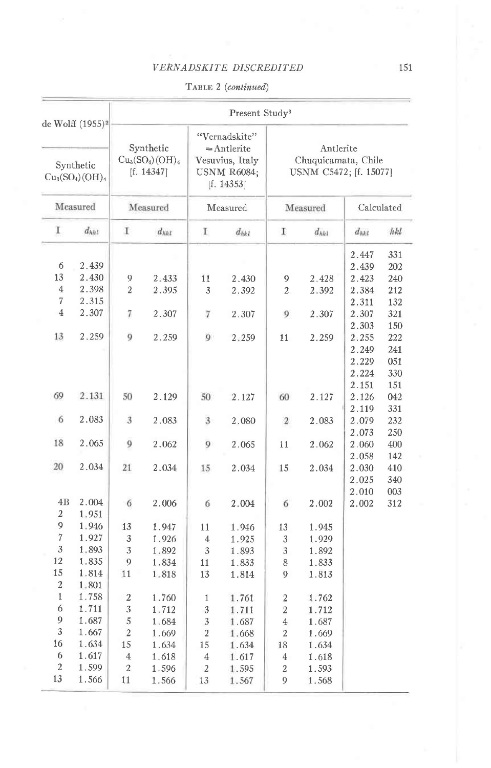VERNADSKITE DISCREDITED

TABLE 2 (continued)

| de Wolff (1955) <sup>2</sup><br>Synthetic<br>$Cu3(SO4)(OH)4$<br>Measured |           | Present Study <sup>3</sup>                             |           |                                                                                                   |           |                                                            |           |                |            |  |
|--------------------------------------------------------------------------|-----------|--------------------------------------------------------|-----------|---------------------------------------------------------------------------------------------------|-----------|------------------------------------------------------------|-----------|----------------|------------|--|
|                                                                          |           | Synthetic<br>$Cu3(SO4)(OH)4$<br>[f. 14347]<br>Measured |           | "Vernadskite"<br>$=$ Antlerite<br>Vesuvius, Italy<br><b>USNM R6084;</b><br>[f. 14353]<br>Measured |           | Antlerite<br>Chuquicamata, Chile<br>USNM C5472; [f. 15077] |           |                |            |  |
|                                                                          |           |                                                        |           |                                                                                                   |           | Measured                                                   |           | Calculated     |            |  |
| I.                                                                       | $d_{hkl}$ | Τ                                                      | $d_{hkl}$ | г                                                                                                 | $d_{hkl}$ | Ι                                                          | $d_{hkl}$ | $d_{hkl}$      | hkl        |  |
| 6                                                                        | 2.439     |                                                        |           |                                                                                                   |           |                                                            |           | 2.447<br>2.439 | 331<br>202 |  |
| 13                                                                       | 2.430     | 9                                                      | 2.433     | 11                                                                                                | 2.430     | 9                                                          | 2.428     | 2.423          | 240        |  |
| $\overline{4}$                                                           | 2.398     | $\overline{2}$                                         | 2.395     | 3                                                                                                 | 2.392     | $\overline{2}$                                             | 2.392     | 2.384          | 212        |  |
| 7                                                                        | 2.315     |                                                        |           |                                                                                                   |           |                                                            |           | 2.311          | 132        |  |
| $\overline{4}$                                                           | 2.307     | 7                                                      | 2.307     | 7                                                                                                 | 2.307     | 9                                                          | 2.307     | 2.307          | 321        |  |
|                                                                          |           |                                                        |           |                                                                                                   |           |                                                            |           | 2.303          | 150        |  |
| 13                                                                       | 2.259     | 9                                                      | 2.259     | 9                                                                                                 | 2.259     | 11                                                         | 2.259     | 2.255          | 222        |  |
|                                                                          |           |                                                        |           |                                                                                                   |           |                                                            |           | 2.249          | 241        |  |
|                                                                          |           |                                                        |           |                                                                                                   |           |                                                            |           | 2.229          | 051        |  |
|                                                                          |           |                                                        |           |                                                                                                   |           |                                                            |           | 2.224          | 330        |  |
|                                                                          |           |                                                        |           |                                                                                                   |           |                                                            |           | 2.151          | 151        |  |
| 69                                                                       | 2.131     | 50                                                     | 2.129     | 50                                                                                                | 2.127     | 60                                                         | 2.127     | 2.126          | 042        |  |
|                                                                          |           |                                                        |           |                                                                                                   |           |                                                            |           | 2.119          | 331        |  |
| 6                                                                        | 2.083     | 3                                                      | 2.083     | 3                                                                                                 | 2.080     | $\sqrt{2}$                                                 | 2.083     | 2.079          | 232        |  |
|                                                                          |           |                                                        |           |                                                                                                   |           |                                                            |           | 2.073          | 250        |  |
| 18                                                                       | 2.065     | 9                                                      | 2.062     | 9                                                                                                 | 2.065     | 11                                                         | 2.062     | 2.060          | 400        |  |
|                                                                          |           |                                                        |           |                                                                                                   |           |                                                            |           | 2.058          | 142        |  |
| 20                                                                       | 2.034     | 21                                                     | 2.034     | 15                                                                                                | 2.034     | 15                                                         | 2.034     | 2.030          | 410        |  |
|                                                                          |           |                                                        |           |                                                                                                   |           |                                                            |           | 2.025          | 340        |  |
|                                                                          |           |                                                        |           |                                                                                                   |           |                                                            |           | 2.010          | 003        |  |
| 4B                                                                       | 2.004     | $-6$                                                   | 2.006     | 6                                                                                                 | 2.004     | 6                                                          | 2.002     | 2.002          | 312        |  |
| $\boldsymbol{2}$                                                         | 1.951     |                                                        |           |                                                                                                   |           |                                                            |           |                |            |  |
| 9                                                                        | 1.946     | 13                                                     | 1.947     | 11                                                                                                | 1.946     | 13                                                         | 1.945     |                |            |  |
| 7                                                                        | 1.927     | 3                                                      | 1.926     | $\overline{4}$                                                                                    | 1.925     | 3                                                          | 1.929     |                |            |  |
| 3                                                                        | 1.893     | 3                                                      | 1.892     | 3                                                                                                 | 1.893     | 3                                                          | 1.892     |                |            |  |
| 12                                                                       | 1.835     | 9                                                      | 1.834     | 11                                                                                                | 1.833     | 8                                                          | 1.833     |                |            |  |
| 15                                                                       | 1.814     | 11                                                     | 1.818     | 13                                                                                                | 1.814     | 9                                                          | 1.813     |                |            |  |
| 2                                                                        | 1.801     |                                                        |           |                                                                                                   |           |                                                            |           |                |            |  |
| $\mathbf{1}$                                                             | 1.758     | 2                                                      | 1.760     | $\mathbf{1}$                                                                                      | 1.761     | 2                                                          | 1.762     |                |            |  |
| 6                                                                        | 1.711     | 3                                                      | 1.712     | 3                                                                                                 | 1.711     | $\overline{2}$                                             | 1.712     |                |            |  |
| 9                                                                        | 1.687     | 5                                                      | 1.684     | 3                                                                                                 | 1.687     | $\overline{4}$                                             | 1.687     |                |            |  |
| 3                                                                        | 1.667     | $\overline{2}$                                         | 1.669     | $\mathbf{2}$                                                                                      | 1.668     | $\overline{c}$                                             | 1.669     |                |            |  |
| 16                                                                       | 1.634     | 15                                                     | 1.634     | 15                                                                                                | 1.634     | 18                                                         | 1.634     |                |            |  |
| 6                                                                        | 1.617     | $\overline{4}$                                         | 1.618     | $\overline{4}$                                                                                    | 1.617     | 4                                                          | 1.618     |                |            |  |
| $\overline{2}$                                                           | 1.599     | $\overline{c}$                                         | 1.596     | $\overline{2}$                                                                                    | 1.595     | 2                                                          | 1.593     |                |            |  |
| 13                                                                       | 1.566     | 11                                                     | 1.566     | 13                                                                                                | 1.567     | 9                                                          | 1.568     |                |            |  |
|                                                                          |           |                                                        |           |                                                                                                   |           |                                                            |           |                |            |  |

151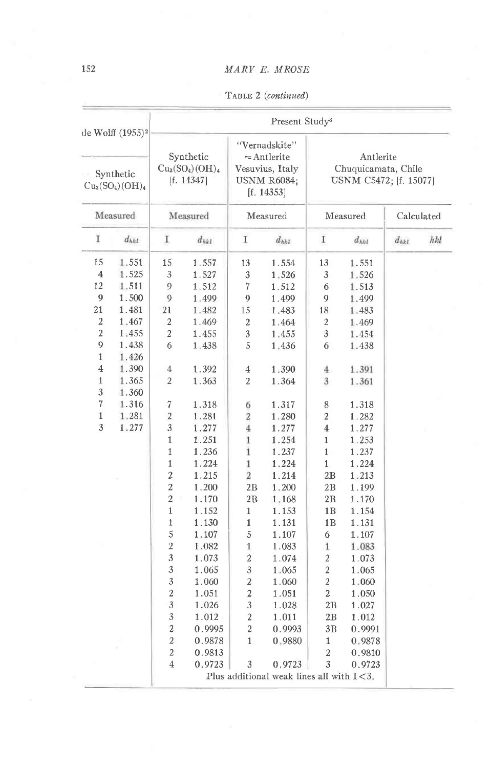TABLE 2 (continued)

| de Wolff (1955) <sup>2</sup><br>Synthetic<br>$Cu3(SO4)(OH)4$<br>Measured                                                                |                                                                                                                                     | Present Study <sup>3</sup>                                                                                                                                                                                                                                                                                                                                                                        |                                                                                                                                                                                                                                                                                       |                                                                                                                                                                                                                                                                                                    |                                                                                                                                                                                                                                                                                       |                                                                                                                                                                                                                                                                                            |                                                                                                                                                                                                                                                                                       |            |     |  |
|-----------------------------------------------------------------------------------------------------------------------------------------|-------------------------------------------------------------------------------------------------------------------------------------|---------------------------------------------------------------------------------------------------------------------------------------------------------------------------------------------------------------------------------------------------------------------------------------------------------------------------------------------------------------------------------------------------|---------------------------------------------------------------------------------------------------------------------------------------------------------------------------------------------------------------------------------------------------------------------------------------|----------------------------------------------------------------------------------------------------------------------------------------------------------------------------------------------------------------------------------------------------------------------------------------------------|---------------------------------------------------------------------------------------------------------------------------------------------------------------------------------------------------------------------------------------------------------------------------------------|--------------------------------------------------------------------------------------------------------------------------------------------------------------------------------------------------------------------------------------------------------------------------------------------|---------------------------------------------------------------------------------------------------------------------------------------------------------------------------------------------------------------------------------------------------------------------------------------|------------|-----|--|
|                                                                                                                                         |                                                                                                                                     | Synthetic<br>$Cu3(SO4)(OH)4$<br>[f. $14347$ ]<br>Measured                                                                                                                                                                                                                                                                                                                                         |                                                                                                                                                                                                                                                                                       | "Vernadskite"<br>$=$ Antlerite<br>Vesuvius, Italy<br>USNM R6084;<br>[f. $14353$ ]<br>Measured                                                                                                                                                                                                      |                                                                                                                                                                                                                                                                                       | Antlerite<br>Chuquicamata, Chile<br>USNM C5472; [f. 15077]                                                                                                                                                                                                                                 |                                                                                                                                                                                                                                                                                       |            |     |  |
|                                                                                                                                         |                                                                                                                                     |                                                                                                                                                                                                                                                                                                                                                                                                   |                                                                                                                                                                                                                                                                                       |                                                                                                                                                                                                                                                                                                    |                                                                                                                                                                                                                                                                                       | Measured                                                                                                                                                                                                                                                                                   |                                                                                                                                                                                                                                                                                       | Calculated |     |  |
| I                                                                                                                                       | $d_{hkl}$                                                                                                                           | I                                                                                                                                                                                                                                                                                                                                                                                                 | $d_{hh1}$                                                                                                                                                                                                                                                                             | I                                                                                                                                                                                                                                                                                                  | $d_{hk}$                                                                                                                                                                                                                                                                              | Ι                                                                                                                                                                                                                                                                                          | $d_{hkl}$                                                                                                                                                                                                                                                                             | $d_{hkt}$  | hkl |  |
| 15<br>4<br>12<br>9<br>21<br>2<br>$\boldsymbol{2}$<br>9<br>$\mathbf{1}$<br>$\overline{4}$<br>$\mathbf{1}$<br>3<br>7<br>$\mathbf{1}$<br>3 | 1.551<br>1.525<br>1.511<br>1.500<br>1.481<br>1.467<br>1.455<br>1.438<br>1.426<br>1.390<br>1.365<br>1.360<br>1.316<br>1.281<br>1.277 | 15<br>3<br>9<br>9<br>21<br>2<br>$\overline{2}$<br>6<br>$\overline{4}$<br>$\boldsymbol{2}$<br>7<br>$\boldsymbol{2}$<br>3<br>$\mathbf{1}$<br>1<br>$\mathbf{1}$<br>$\overline{\mathbf{c}}$<br>$\overline{c}$<br>$\overline{2}$<br>$\overline{1}$<br>1<br>5<br>$\overline{2}$<br>$\overline{3}$<br>$\overline{3}$<br>3<br>$\boldsymbol{2}$<br>$\overline{3}$<br>3<br>$\overline{c}$<br>$\overline{2}$ | 1.557<br>1.527<br>1.512<br>1.499<br>1.482<br>1.469<br>1.455<br>1.438<br>1.392<br>1.363<br>1.318<br>1.281<br>1.277<br>1.251<br>1.236<br>1.224<br>1.215<br>1.200<br>1.170<br>1.152<br>1.130<br>1.107<br>1.082<br>1.073<br>1.065<br>1.060<br>1.051<br>1.026<br>1.012<br>0.9995<br>0.9878 | 13<br>3<br>7<br>9<br>15<br>2<br>3<br>5<br>$\overline{4}$<br>2<br>6<br>2<br>4<br>$\mathbf{1}$<br>1<br>1<br>$\overline{2}$<br>2B<br>2B<br>$\mathbf{1}$<br>$\mathbf{1}$<br>5<br>$\mathbf{1}$<br>$\overline{a}$<br>3<br>$\overline{2}$<br>$\overline{c}$<br>3<br>$\boldsymbol{2}$<br>2<br>$\mathbf{1}$ | 1.554<br>1.526<br>1.512<br>1.499<br>1.483<br>1.464<br>1.455<br>1.436<br>1,390<br>1.364<br>1.317<br>1.280<br>1.277<br>1.254<br>1.237<br>1.224<br>1.214<br>1.200<br>1.168<br>1.153<br>1.131<br>1.107<br>1.083<br>1.074<br>1.065<br>1.060<br>1.051<br>1.028<br>1.011<br>0.9993<br>0.9880 | 13<br>3<br>6<br>9<br>18<br>2<br>3<br>6<br>$^{4}$<br>3<br>8<br>$\overline{2}$<br>4<br>$\mathbf{1}$<br>$\mathbf{1}$<br>$\mathbf{1}$<br>2B<br>2B<br>$_{\rm 2B}$<br>1B<br>1B<br>6<br>1<br>$\mathbf{2}$<br>$\overline{2}$<br>$\overline{2}$<br>$\overline{2}$<br>2В<br>2В<br>3B<br>$\mathbf{1}$ | 1.551<br>1.526<br>1.513<br>1.499<br>1.483<br>1.469<br>1.454<br>1.438<br>1.391<br>1.361<br>1.318<br>1.282<br>1.277<br>1.253<br>1.237<br>1.224<br>1.213<br>1.199<br>1.170<br>1.154<br>1.131<br>1.107<br>1.083<br>1.073<br>1.065<br>1.060<br>1.050<br>1.027<br>1.012<br>0.9991<br>0.9878 |            |     |  |
|                                                                                                                                         |                                                                                                                                     | 2<br>$\overline{4}$                                                                                                                                                                                                                                                                                                                                                                               | 0.9813<br>0.9723                                                                                                                                                                                                                                                                      | 3                                                                                                                                                                                                                                                                                                  | 0.9723<br>Plus additional weak lines all with $I < 3$ .                                                                                                                                                                                                                               | 2<br>3                                                                                                                                                                                                                                                                                     | 0.9810<br>0.9723                                                                                                                                                                                                                                                                      |            |     |  |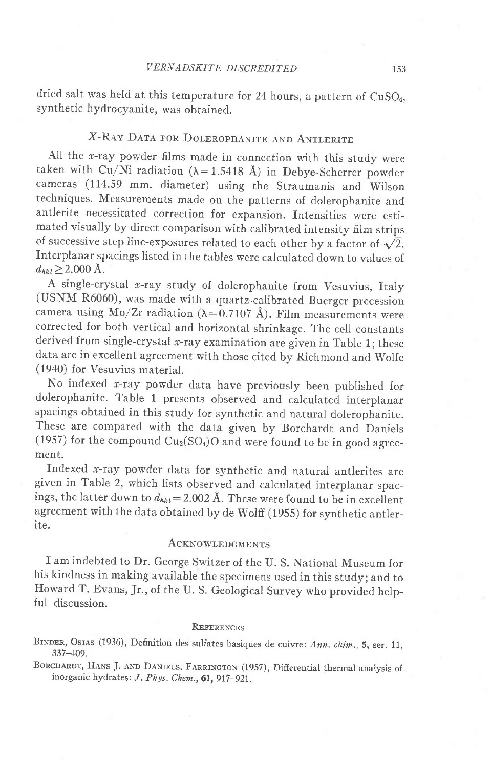dried salt was held at this temperature for 24 hours, a pattern of CuSO<sub>4</sub>, synthetic hydrocyanite, was obtained.

# X-RAY DATA FOR DOLEROPHANITE AND ANTLERITE

All the  $x$ -ray powder films made in connection with this study were taken with Cu/Ni radiation ( $\lambda$ =1.5418 Å) in Debye-Scherrer powder cameras (114.59 mm. diameter) using the Straumanis and wilson techniques. Measurements made on the patterns of dolerophanite and antlerite necessitated correction for expansion. Intensities were estimated visually by direct comparison with calibrated intensity film strips of successive step line-exposures related to each other by a factor of  $\sqrt{2}$ . Interplanar spacings listed in the tables were calculated down to values of  $d_{hkl} \geq 2.000 \text{ Å}.$ 

A single-crystal x-ray study of dolerophanite from Vesuvius, Italy (USNM R6060), was made with a quartz-calibrated Buerger precession camera using Mo/Zr radiation ( $\lambda$ =0.7107 Å). Film measurements were corrected for both vertical and horizontal shrinkage. The cell constants derived from single-crystal  $x$ -ray examination are given in Table 1; these data are in excellent agreement with those cited by Richmond and wolfe (1940) for Vesuvius material.

No indexed  $x$ -ray powder data have previously been published for dolerophanite. Table 1 presents observed and calculated interplanar spacings obtained in this study for synthetic and natural dolerophanite. These are compared with the data given by Borchardt and Daniels (1957) for the compound  $Cu_2(SO_4)O$  and were found to be in good agreement.

Indexed  $x$ -ray powder data for synthetic and natural antlerites are given in Table 2, which lists observed and calculated interplanar spacings, the latter down to  $d_{hkl}= 2.002 \text{ Å}$ . These were found to be in excellent agreement with the data obtained by de Wolff (1955) for synthetic antlerite.

### **ACKNOWLEDGMENTS**

r am indebted to Dr. George switzer of the U. S. National Museum for his kindness in making available the specimens used in this study; and to Howard T. Evans, Jr., of the U. S. Geological Survey who provided helpful discussion.

### **REFERENCES**

BINDER, OSIAS (1936), Definition des sulfates basiques de cuivre: Ann. chim., 5, ser. 11, 337-409.

BORCHARDT, HANS J. AND DANIELS, FARRINGTON (1957), Differential thermal analysis of inorganic hydrates:  $J. Phys. Chem., 61, 917-921.$